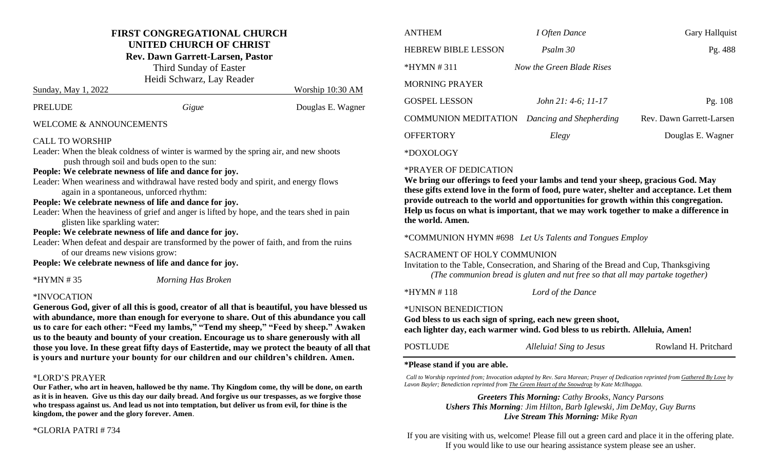#### **FIRST CONGREGATIONAL CHURCH UNITED CHURCH OF CHRIST**

**Rev. Dawn Garrett-Larsen, Pastor**

Third Sunday of Easter Heidi Schwarz, Lay Reader Sunday, May 1, 2022 Worship 10:30 AM

| PRELUDE                 | Gigue | Douglas E. Wagner |
|-------------------------|-------|-------------------|
| WELCOME & ANNOUNCEMENTS |       |                   |

#### CALL TO WORSHIP

Leader: When the bleak coldness of winter is warmed by the spring air, and new shoots push through soil and buds open to the sun: **People: We celebrate newness of life and dance for joy.**

Leader: When weariness and withdrawal have rested body and spirit, and energy flows again in a spontaneous, unforced rhythm:

#### **People: We celebrate newness of life and dance for joy.**

Leader: When the heaviness of grief and anger is lifted by hope, and the tears shed in pain glisten like sparkling water:

#### **People: We celebrate newness of life and dance for joy.**

Leader: When defeat and despair are transformed by the power of faith, and from the ruins

of our dreams new visions grow:

**People: We celebrate newness of life and dance for joy.**

\*HYMN # 35 *Morning Has Broken*

#### \*INVOCATION

**Generous God, giver of all this is good, creator of all that is beautiful, you have blessed us with abundance, more than enough for everyone to share. Out of this abundance you call us to care for each other: "Feed my lambs," "Tend my sheep," "Feed by sheep." Awaken us to the beauty and bounty of your creation. Encourage us to share generously with all those you love. In these great fifty days of Eastertide, may we protect the beauty of all that is yours and nurture your bounty for our children and our children's children. Amen.**

#### \*LORD'S PRAYER

**Our Father, who art in heaven, hallowed be thy name. Thy Kingdom come, thy will be done, on earth as it is in heaven. Give us this day our daily bread. And forgive us our trespasses, as we forgive those who trespass against us. And lead us not into temptation, but deliver us from evil, for thine is the kingdom, the power and the glory forever. Amen**.

#### \*GLORIA PATRI # 734

| <b>ANTHEM</b>               | I Often Dance             | <b>Gary Hallquist</b>    |
|-----------------------------|---------------------------|--------------------------|
| <b>HEBREW BIBLE LESSON</b>  | Psalm 30                  | Pg. 488                  |
| $*HYMN \# 311$              | Now the Green Blade Rises |                          |
| MORNING PRAYER              |                           |                          |
| <b>GOSPEL LESSON</b>        | John 21: 4-6; 11-17       | Pg. 108                  |
| <b>COMMUNION MEDITATION</b> | Dancing and Shepherding   | Rev. Dawn Garrett-Larsen |
| <b>OFFERTORY</b>            | Elegy                     | Douglas E. Wagner        |
|                             |                           |                          |

\*DOXOLOGY

#### \*PRAYER OF DEDICATION

**We bring our offerings to feed your lambs and tend your sheep, gracious God. May these gifts extend love in the form of food, pure water, shelter and acceptance. Let them provide outreach to the world and opportunities for growth within this congregation. Help us focus on what is important, that we may work together to make a difference in the world. Amen.** 

\*COMMUNION HYMN #698 *Let Us Talents and Tongues Employ*

#### SACRAMENT OF HOLY COMMUNION

Invitation to the Table, Consecration, and Sharing of the Bread and Cup, Thanksgiving *(The communion bread is gluten and nut free so that all may partake together)*

\*HYMN # 118 *Lord of the Dance*

\*UNISON BENEDICTION

**God bless to us each sign of spring, each new green shoot,** 

**each lighter day, each warmer wind. God bless to us rebirth. Alleluia, Amen!**

#### **\*Please stand if you are able.**

*Call to Worship reprinted from; Invocation adapted by Rev. Sara Marean; Prayer of Dedication reprinted from Gathered By Love by Lavon Bayler; Benediction reprinted from The Green Heart of the Snowdrop by Kate McIlhagga.*

> *Greeters This Morning: Cathy Brooks, Nancy Parsons Ushers This Morning: Jim Hilton, Barb Iglewski, Jim DeMay, Guy Burns Live Stream This Morning: Mike Ryan*

If you are visiting with us, welcome! Please fill out a green card and place it in the offering plate. If you would like to use our hearing assistance system please see an usher.